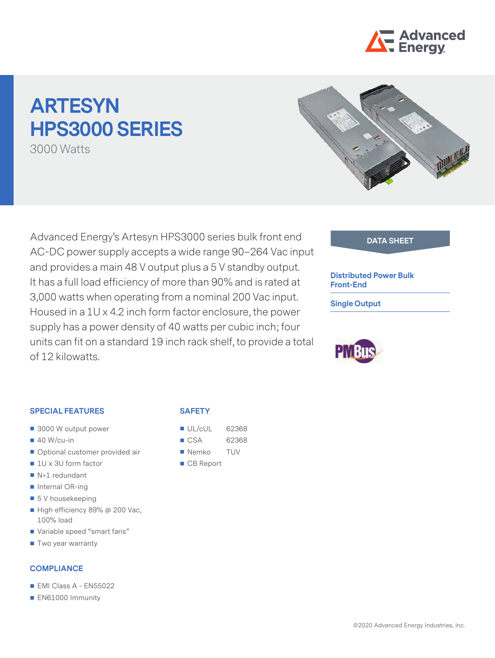

# **ARTESYN HPS3000 SERIES**

3000 Watts

Advanced Energy's Artesyn HPS3000 series bulk front end **DATA SHEET** AC-DC power supply accepts a wide range 90–264 Vac input and provides a main 48 V output plus a 5 V standby output. It has a full load efficiency of more than 90% and is rated at 3,000 watts when operating from a nominal 200 Vac input. Housed in a 1U x 4.2 inch form factor enclosure, the power supply has a power density of 40 watts per cubic inch; four units can fit on a standard 19 inch rack shelf, to provide a total of 12 kilowatts.



#### **Distributed Power Bulk Front-End**

**Single Output**



#### **SPECIAL FEATURES**

- 3000 W output power
- $\blacksquare$  40 W/cu-in
- Optional customer provided air
- 1U x 3U form factor
- N+1 redundant
- $\blacksquare$  Internal OR-ing
- 5 V housekeeping
- High efficiency 89% @ 200 Vac, 100% load
- Variable speed "smart fans"
- Two year warranty

#### **COMPLIANCE**

- **EMI Class A EN55022**
- **EN61000 Immunity**

#### **SAFETY**

- UL/cUL 62368
- CSA 62368
- Nemko TUV
- CB Report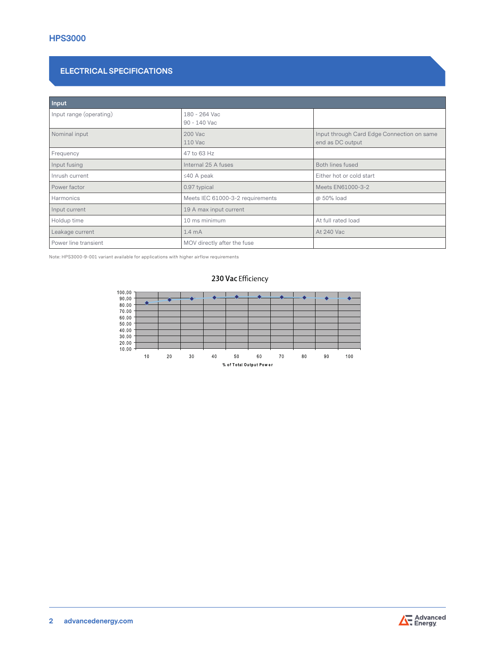## **ELECTRICAL SPECIFICATIONS**

| Input                   |                                  |                                                                |
|-------------------------|----------------------------------|----------------------------------------------------------------|
| Input range (operating) | 180 - 264 Vac<br>90 - 140 Vac    |                                                                |
| Nominal input           | 200 Vac<br>110 Vac               | Input through Card Edge Connection on same<br>end as DC output |
| Frequency               | 47 to 63 Hz                      |                                                                |
| Input fusing            | Internal 25 A fuses              | Both lines fused                                               |
| Inrush current          | $≤40$ A peak                     | Either hot or cold start                                       |
| Power factor            | 0.97 typical                     | Meets EN61000-3-2                                              |
| Harmonics               | Meets IEC 61000-3-2 requirements | @ 50% load                                                     |
| Input current           | 19 A max input current           |                                                                |
| Holdup time             | 10 ms minimum                    | At full rated load                                             |
| Leakage current         | 1.4 <sub>mA</sub>                | At 240 Vac                                                     |
| Power line transient    | MOV directly after the fuse      |                                                                |

Note: HPS3000-9-001 variant available for applications with higher airflow requirements

#### 230 Vac Efficiency



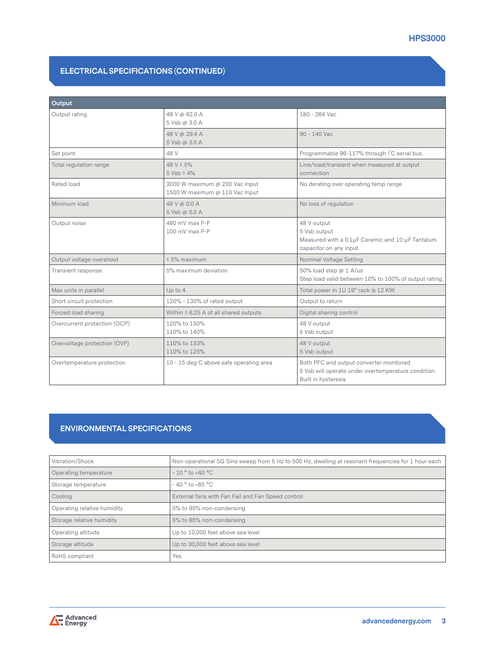## **HPS3000**

## **ELECTRICAL SPECIFICATIONS (CONTINUED)**

| Output                       |                                                                  |                                                                                                                              |
|------------------------------|------------------------------------------------------------------|------------------------------------------------------------------------------------------------------------------------------|
| Output rating                | 48 V @ 62.0 A<br>5 Vsb @ 3.0 A                                   | 180 - 264 Vac                                                                                                                |
|                              | 48 V @ 29.4 A<br>5 Vsb @ 3.0 A                                   | 90 - 140 Vac                                                                                                                 |
| Set point                    | 48 V                                                             | Programmable 96-117% through I <sup>2</sup> C serial bus                                                                     |
| Total regulation range       | 48 V ± 5%<br>$5 Vsh \pm 4%$                                      | Line/load/transient when measured at output<br>connection                                                                    |
| Rated load                   | 3000 W maximum @ 200 Vac Input<br>1500 W maximum @ 110 Vac Input | No derating over operating temp range                                                                                        |
| Minimum load                 | 48 V @ 0.0 A<br>5 Vsb @ 0.0 A                                    | No loss of regulation                                                                                                        |
| Output noise                 | 480 mV max P-P<br>100 mV max P-P                                 | 48 V output<br>5 Vsb output<br>Measured with a 0.1µF Ceramic and 10 µF Tantalum<br>capacitor on any input                    |
| Output voltage overshoot     | $± 5%$ maximum                                                   | Nominal Voltage Setting                                                                                                      |
| Transient response           | 5% maximum deviation                                             | 50% load step @ 1 A/us<br>Step load valid between 10% to 100% of output rating.                                              |
| Max units in parallel        | Up to 4                                                          | Total power in 1U 19" rack is 12 KW                                                                                          |
| Short circuit protection     | 120% - 130% of rated output                                      | Output to return                                                                                                             |
| Forced load sharing          | Within $\pm$ 6.25 A of all shared outputs                        | Digital sharing control                                                                                                      |
| Overcurrent protection (OCP) | 120% to 130%<br>110% to 140%                                     | 48 V output<br>5 Vsb output                                                                                                  |
| Overvoltage protection (OVP) | 110% to 133%<br>110% to 125%                                     | 48 V output<br>5 Vsb output                                                                                                  |
| Overtemperature protection   | 10 - 15 deg C above safe operating area                          | Both PFC and output converter monitored<br>5 Vsb will operate under overtemperature condition.<br><b>Built in hysteresis</b> |

## **ENVIRONMENTAL SPECIFICATIONS**

| Vibration/Shock             | Non-operational 5G Sine sweep from 5 Hz to 500 Hz, dwelling at resonant frequencies for 1 hour each |
|-----------------------------|-----------------------------------------------------------------------------------------------------|
| Operating temperature       | $-10$ ° to +40 °C                                                                                   |
| Storage temperature         | $-40°$ to $+85°$ C                                                                                  |
| Cooling                     | External fans with Fan Fail and Fan Speed control                                                   |
| Operating relative humidity | 5% to 95% non-condensing                                                                            |
| Storage relative humidity   | 5% to 95% non-condensing                                                                            |
| Operating altitude          | Up to 10,000 feet above sea level                                                                   |
| Storage altitude            | Up to 30,000 feet above sea level                                                                   |
| RoHS compliant              | Yes                                                                                                 |

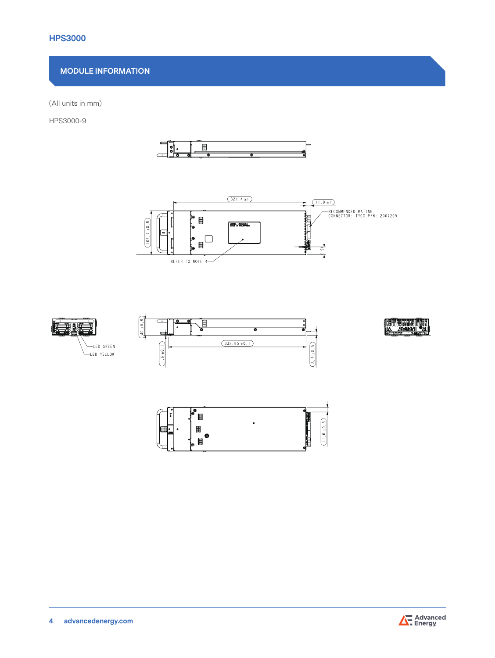## **HPS3000**

## **MODULE INFORMATION**

(All units in mm)

HPS3000-9









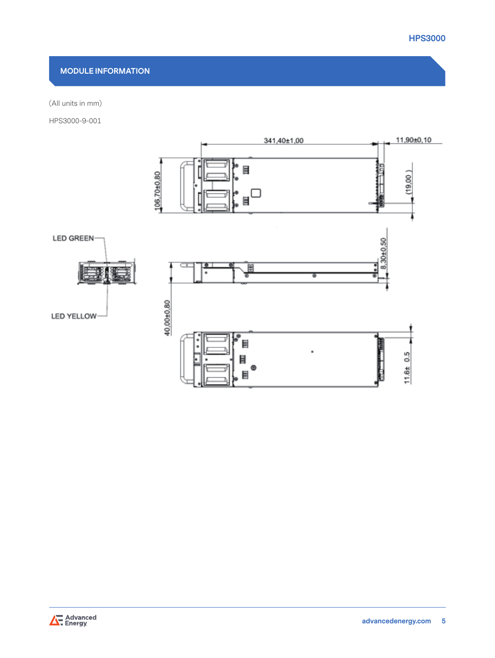## **MODULE INFORMATION**

(All units in mm)

HPS3000-9-001



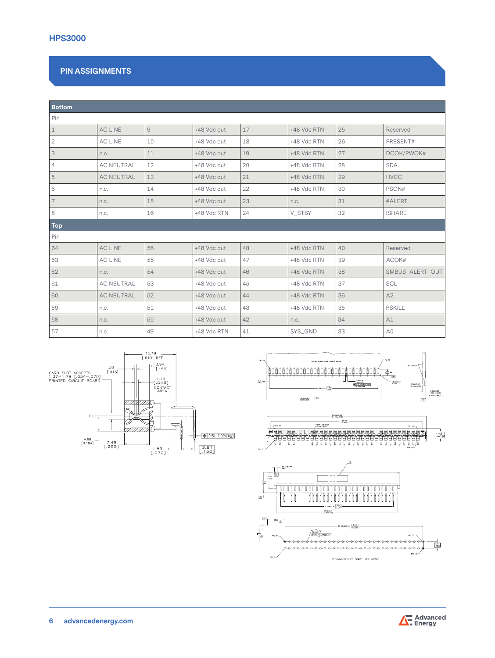## **PIN ASSIGNMENTS**

| <b>Bottom</b>  |                   |          |             |    |             |    |                 |
|----------------|-------------------|----------|-------------|----|-------------|----|-----------------|
| Pin            |                   |          |             |    |             |    |                 |
| $\mathbf 1$    | <b>AC LINE</b>    | $\Theta$ | +48 Vdc out | 17 | +48 Vdc RTN | 25 | Reserved        |
| $\mathbf{2}$   | <b>AC LINE</b>    | 10       | +48 Vdc out | 18 | +48 Vdc RTN | 26 | PRESENT#        |
| 3              | n.c.              | 11       | +48 Vdc out | 19 | +48 Vdc RTN | 27 | DCOK/PWOK#      |
| 4              | <b>AC NEUTRAL</b> | 12       | +48 Vdc out | 20 | +48 Vdc RTN | 28 | <b>SDA</b>      |
| 5              | <b>AC NEUTRAL</b> | 13       | +48 Vdc out | 21 | +48 Vdc RTN | 29 | <b>HVCC</b>     |
| 6              | n.c.              | 14       | +48 Vdc out | 22 | +48 Vdc RTN | 30 | PSON#           |
| $\overline{7}$ | n.c.              | 15       | +48 Vdc out | 23 | n.c.        | 31 | #ALERT          |
| 8              | n.c.              | 16       | +48 Vdc RTN | 24 | V_STBY      | 32 | <b>ISHARE</b>   |
| <b>Top</b>     |                   |          |             |    |             |    |                 |
| Pin            |                   |          |             |    |             |    |                 |
| 64             | <b>AC LINE</b>    | 56       | +48 Vdc out | 48 | +48 Vdc RTN | 40 | Reserved        |
| 63             | AC LINE           | 55       | +48 Vdc out | 47 | +48 Vdc RTN | 39 | ACOK#           |
| 62             | n.c.              | 54       | +48 Vdc out | 46 | +48 Vdc RTN | 38 | SMBUS_ALERT_OUT |
| 61             | <b>AC NEUTRAL</b> | 53       | +48 Vdc out | 45 | +48 Vdc RTN | 37 | <b>SCL</b>      |
| 60             | <b>AC NEUTRAL</b> | 52       | +48 Vdc out | 44 | +48 Vdc RTN | 36 | A2              |
| 59             | n.c.              | 51       | +48 Vdc out | 43 | +48 Vdc RTN | 35 | <b>PSKILL</b>   |
| 58             | n.c.              | 50       | +48 Vdc out | 42 | n.c.        | 34 | A1              |
| 57             | n.c.              | 49       | +48 Vdc RTN | 41 | SYS_GND     | 33 | A <sub>0</sub>  |





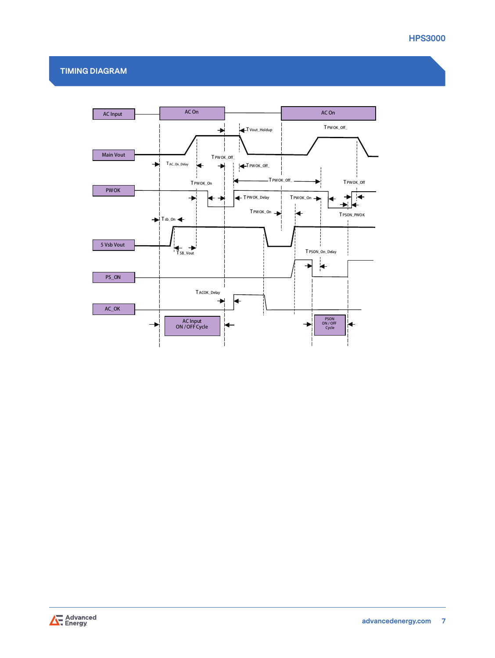

## **TIMING DIAGRAM**



**Timing Diagram** 

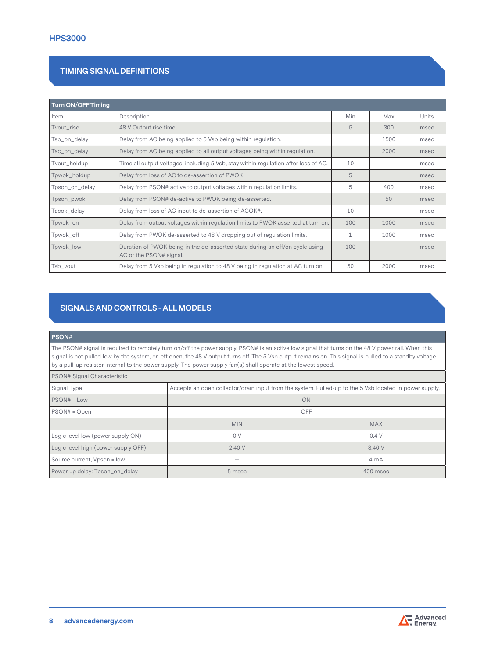## **TIMING SIGNAL DEFINITIONS**

| <b>Turn ON/OFF Timing</b> |                                                                                                         |              |      |       |
|---------------------------|---------------------------------------------------------------------------------------------------------|--------------|------|-------|
| Item                      | Description                                                                                             | Min          | Max  | Units |
| Tvout_rise                | 48 V Output rise time                                                                                   | 5            | 300  | msec  |
| Tsb_on_delay              | Delay from AC being applied to 5 Vsb being within regulation.                                           |              | 1500 | msec  |
| Tac_on_delay              | Delay from AC being applied to all output voltages being within regulation.                             |              | 2000 | msec  |
| Tvout_holdup              | Time all output voltages, including 5 Vsb, stay within regulation after loss of AC.                     | 10           |      | msec  |
| Tpwok_holdup              | Delay from loss of AC to de-assertion of PWOK                                                           | 5            |      | msec  |
| Tpson_on_delay            | Delay from PSON# active to output voltages within regulation limits.                                    | 5            | 400  | msec  |
| Tpson_pwok                | Delay from PSON# de-active to PWOK being de-asserted.                                                   |              | 50   | msec  |
| Tacok_delay               | Delay from loss of AC input to de-assertion of ACOK#.                                                   | 10           |      | msec  |
| Tpwok_on                  | Delay from output voltages within regulation limits to PWOK asserted at turn on.                        | 100          | 1000 | msec  |
| Tpwok_off                 | Delay from PWOK de-asserted to 48 V dropping out of regulation limits.                                  | $\mathbf{1}$ | 1000 | msec  |
| Tpwok_low                 | Duration of PWOK being in the de-asserted state during an off/on cycle using<br>AC or the PSON# signal. | 100          |      | msec  |
| Tsb_vout                  | Delay from 5 Vsb being in regulation to 48 V being in regulation at AC turn on.                         | 50           | 2000 | msec  |

# **SIGNALS AND CONTROLS - ALL MODELS**

# **PSON#**

The PSON# signal is required to remotely turn on/off the power supply. PSON# is an active low signal that turns on the 48 V power rail. When this signal is not pulled low by the system, or left open, the 48 V output turns off. The 5 Vsb output remains on. This signal is pulled to a standby voltage by a pull-up resistor internal to the power supply. The power supply fan(s) shall operate at the lowest speed.

| <b>PSON# Signal Characteristic</b> |  |
|------------------------------------|--|
|------------------------------------|--|

| Signal Type                         | Accepts an open collector/drain input from the system. Pulled-up to the 5 Vsb located in power supply. |            |  |  |
|-------------------------------------|--------------------------------------------------------------------------------------------------------|------------|--|--|
| $PSON# = Low$                       | ON                                                                                                     |            |  |  |
| $PSON# = Open$                      | OFF                                                                                                    |            |  |  |
|                                     | <b>MIN</b>                                                                                             | <b>MAX</b> |  |  |
| Logic level low (power supply ON)   | 0 <sup>V</sup>                                                                                         | 0.4V       |  |  |
| Logic level high (power supply OFF) | 2.40V                                                                                                  | 3.40V      |  |  |
| Source current, Vpson = low         | $- -$                                                                                                  | 4 mA       |  |  |
| Power up delay: Tpson_on_delay      | 5 msec                                                                                                 | 400 msec   |  |  |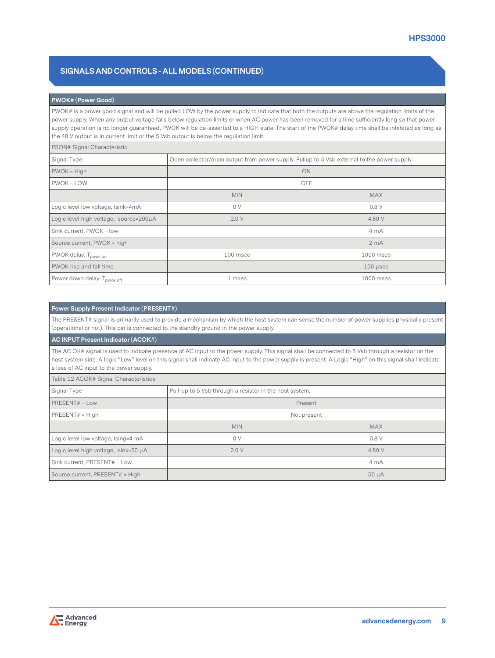## **SIGNALS AND CONTROLS - ALL MODELS (CONTINUED)**

#### **PWOK# (Power Good)**

PWOK# is a power good signal and will be pulled LOW by the power supply to indicate that both the outputs are above the regulation limits of the power supply. When any output voltage falls below regulation limits or when AC power has been removed for a time sufficiently long so that power supply operation is no longer guaranteed, PWOK will be de-asserted to a HIGH state. The start of the PWOK# delay time shall be inhibited as long as the 48 V output is in current limit or the 5 Vsb output is below the regulation limit.

PSON# Signal Characteristic

| Signal Type                             | Open collector/drain output from power supply. Pullup to 5 Vsb external to the power supply. |                  |  |  |
|-----------------------------------------|----------------------------------------------------------------------------------------------|------------------|--|--|
| $PWOK = High$                           | ON                                                                                           |                  |  |  |
| $PWOK = LOW$                            | OFF                                                                                          |                  |  |  |
|                                         | <b>MIN</b>                                                                                   | <b>MAX</b>       |  |  |
| Logic level low voltage, Isink=4mA      | 0 V                                                                                          | 0.8 V            |  |  |
| Logic level high voltage, Isource=200µA | 2.0V                                                                                         | 4.80 V           |  |  |
| Sink current, PWOK = low                |                                                                                              | 4 mA             |  |  |
| Source current, PWOK = high             |                                                                                              | 2 <sub>m</sub> A |  |  |
| PWOK delay: T <sub>pwok on</sub>        | 100 msec                                                                                     | 1000 msec        |  |  |
| PWOK rise and fall time                 |                                                                                              | $100$ $\mu$ sec  |  |  |
| Power down delay: T <sub>pwok off</sub> | 1 msec                                                                                       | 1000 msec        |  |  |

#### **Power Supply Present Indicator (PRESENT#)**

The PRESENT# signal is primarily used to provide a mechanism by which the host system can sense the number of power supplies physically present (operational or not). This pin is connected to the standby ground in the power supply.

#### **AC INPUT Present Indicator (ACOK#)**

The AC OK# signal is used to indicate presence of AC input to the power supply. This signal shall be connected to 5 Vsb through a resistor on the host system side. A logic "Low" level on this signal shall indicate AC input to the power supply is present. A Logic "High" on this signal shall indicate a loss of AC input to the power supply.

| Table 12 ACOK# Signal Characteristics |
|---------------------------------------|
|---------------------------------------|

| Signal Type                           | Pull-up to 5 Vsb through a resistor in the host system. |            |  |  |  |
|---------------------------------------|---------------------------------------------------------|------------|--|--|--|
| $PRESENT# = Low$                      |                                                         | Present    |  |  |  |
| $PRESENT# = High$                     | Not present                                             |            |  |  |  |
|                                       | <b>MIN</b>                                              | <b>MAX</b> |  |  |  |
| Logic level low voltage, Ising=4 mA   | 0 <sup>0</sup>                                          | 0.8V       |  |  |  |
| Logic level high voltage, Isink=50 µA | 2.0V                                                    | 4.80 V     |  |  |  |
| Sink current, PRESENT# = Low          |                                                         | 4mA        |  |  |  |
| Source current, PRESENT# = High       |                                                         | $50 \mu A$ |  |  |  |

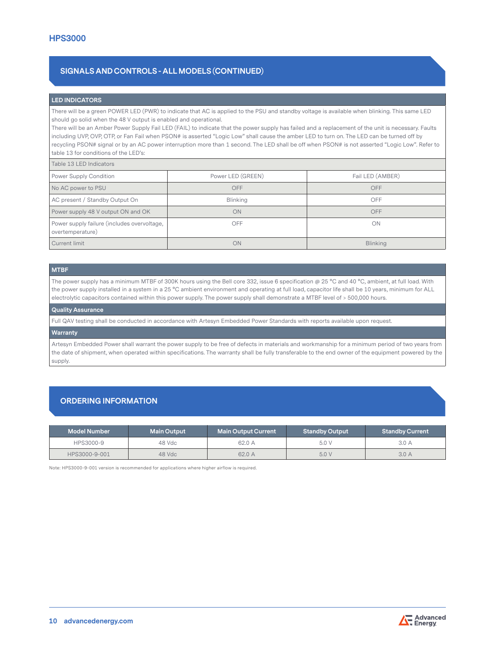## **SIGNALS AND CONTROLS - ALL MODELS (CONTINUED)**

#### **LED INDICATORS**

There will be a green POWER LED (PWR) to indicate that AC is applied to the PSU and standby voltage is available when blinking. This same LED should go solid when the 48 V output is enabled and operational.

There will be an Amber Power Supply Fail LED (FAIL) to indicate that the power supply has failed and a replacement of the unit is necessary. Faults including UVP, OVP, OTP, or Fan Fail when PSON# is asserted "Logic Low" shall cause the amber LED to turn on. The LED can be turned off by recycling PSON# signal or by an AC power interruption more than 1 second. The LED shall be off when PSON# is not asserted "Logic Low". Refer to table 13 for conditions of the LED's:

Table 13 LED Indicators

| Power Supply Condition                                          | Power LED (GREEN) | Fail LED (AMBER) |
|-----------------------------------------------------------------|-------------------|------------------|
| No AC power to PSU                                              | <b>OFF</b>        | OFF              |
| AC present / Standby Output On                                  | <b>Blinking</b>   | OFF              |
| Power supply 48 V output ON and OK                              | <b>ON</b>         | <b>OFF</b>       |
| Power supply failure (includes overvoltage,<br>overtemperature) | OFF.              | ON               |
| Current limit                                                   | ON                | <b>Blinking</b>  |

#### **MTBF**

The power supply has a minimum MTBF of 300K hours using the Bell core 332, issue 6 specification @ 25 °C and 40 °C, ambient, at full load. With the power supply installed in a system in a 25 °C ambient environment and operating at full load, capacitor life shall be 10 years, minimum for ALL electrolytic capacitors contained within this power supply. The power supply shall demonstrate a MTBF level of > 500,000 hours.

#### **Quality Assurance**

Full QAV testing shall be conducted in accordance with Artesyn Embedded Power Standards with reports available upon request.

**Warranty**

Artesyn Embedded Power shall warrant the power supply to be free of defects in materials and workmanship for a minimum period of two years from the date of shipment, when operated within specifications. The warranty shall be fully transferable to the end owner of the equipment powered by the supply.

#### **ORDERING INFORMATION**

| <b>Model Number</b> | <b>Main Output</b> | <b>Main Output Current</b> | <b>Standby Output</b> | <b>Standby Current</b> |
|---------------------|--------------------|----------------------------|-----------------------|------------------------|
| HPS3000-9           | 48 Vdc             | 62.0 A                     | 5.0 V                 | 3.0A                   |
| HPS3000-9-001       | 48 Vdc             | 62.0 A                     | 5.0 V                 | 3.0A                   |

Note: HPS3000-9-001 version is recommended for applications where higher airflow is required.